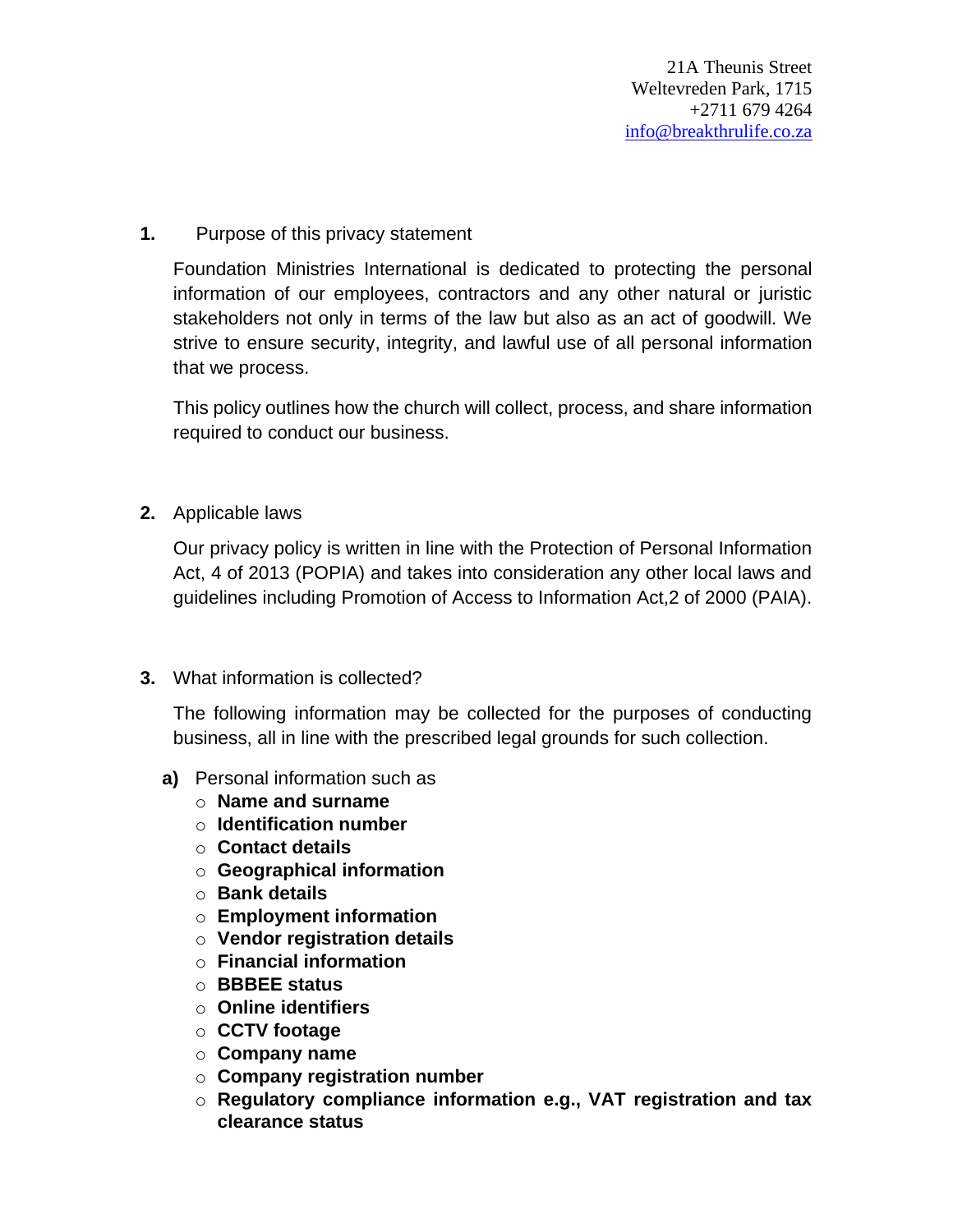## **1.** Purpose of this privacy statement

Foundation Ministries International is dedicated to protecting the personal information of our employees, contractors and any other natural or juristic stakeholders not only in terms of the law but also as an act of goodwill. We strive to ensure security, integrity, and lawful use of all personal information that we process.

This policy outlines how the church will collect, process, and share information required to conduct our business.

**2.** Applicable laws

Our privacy policy is written in line with the Protection of Personal Information Act, 4 of 2013 (POPIA) and takes into consideration any other local laws and guidelines including Promotion of Access to Information Act,2 of 2000 (PAIA).

## **3.** What information is collected?

The following information may be collected for the purposes of conducting business, all in line with the prescribed legal grounds for such collection.

- **a)** Personal information such as
	- o **Name and surname**
	- o **Identification number**
	- o **Contact details**
	- o **Geographical information**
	- o **Bank details**
	- o **Employment information**
	- o **Vendor registration details**
	- o **Financial information**
	- o **BBBEE status**
	- o **Online identifiers**
	- o **CCTV footage**
	- o **Company name**
	- o **Company registration number**
	- o **Regulatory compliance information e.g., VAT registration and tax clearance status**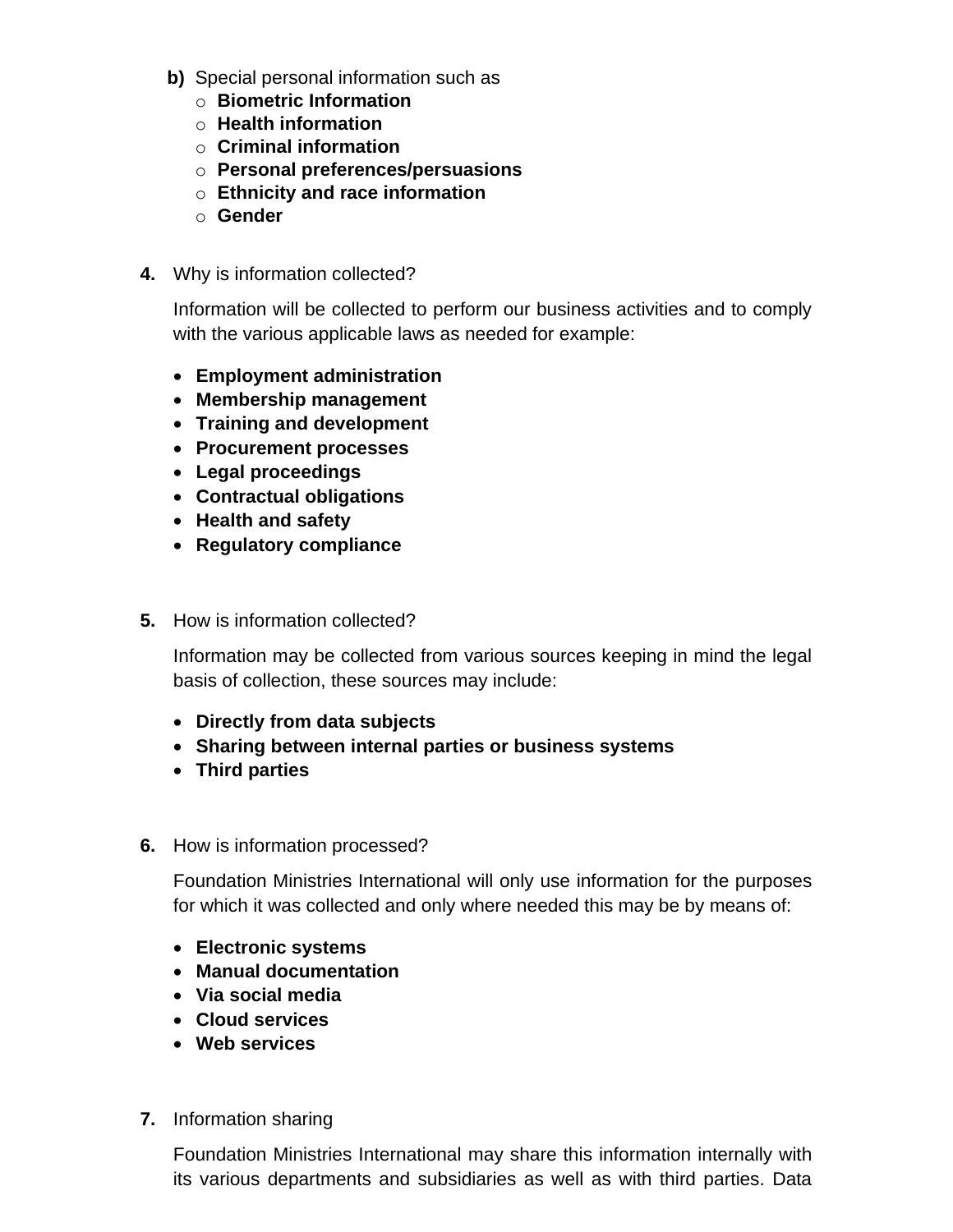- **b)** Special personal information such as
	- o **Biometric Information**
	- o **Health information**
	- o **Criminal information**
	- o **Personal preferences/persuasions**
	- o **Ethnicity and race information**
	- o **Gender**
- **4.** Why is information collected?

Information will be collected to perform our business activities and to comply with the various applicable laws as needed for example:

- **Employment administration**
- **Membership management**
- **Training and development**
- **Procurement processes**
- **Legal proceedings**
- **Contractual obligations**
- **Health and safety**
- **Regulatory compliance**
- **5.** How is information collected?

Information may be collected from various sources keeping in mind the legal basis of collection, these sources may include:

- **Directly from data subjects**
- **Sharing between internal parties or business systems**
- **Third parties**
- **6.** How is information processed?

Foundation Ministries International will only use information for the purposes for which it was collected and only where needed this may be by means of:

- **Electronic systems**
- **Manual documentation**
- **Via social media**
- **Cloud services**
- **Web services**
- **7.** Information sharing

Foundation Ministries International may share this information internally with its various departments and subsidiaries as well as with third parties. Data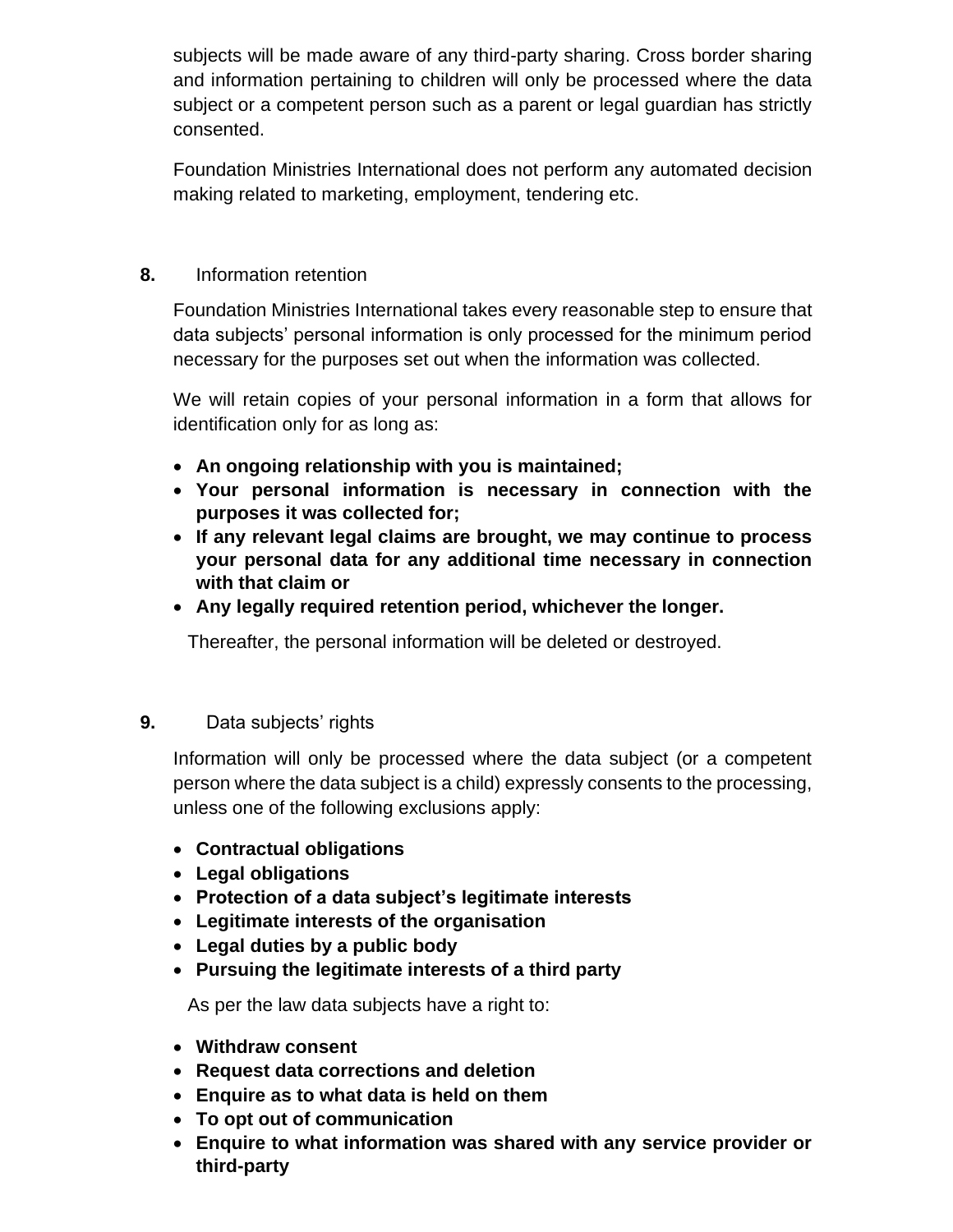subjects will be made aware of any third-party sharing. Cross border sharing and information pertaining to children will only be processed where the data subject or a competent person such as a parent or legal guardian has strictly consented.

Foundation Ministries International does not perform any automated decision making related to marketing, employment, tendering etc.

## **8.** Information retention

Foundation Ministries International takes every reasonable step to ensure that data subjects' personal information is only processed for the minimum period necessary for the purposes set out when the information was collected.

We will retain copies of your personal information in a form that allows for identification only for as long as:

- **An ongoing relationship with you is maintained;**
- **Your personal information is necessary in connection with the purposes it was collected for;**
- **If any relevant legal claims are brought, we may continue to process your personal data for any additional time necessary in connection with that claim or**
- **Any legally required retention period, whichever the longer.**

Thereafter, the personal information will be deleted or destroyed.

## **9.** Data subjects' rights

Information will only be processed where the data subject (or a competent person where the data subject is a child) expressly consents to the processing, unless one of the following exclusions apply:

- **Contractual obligations**
- **Legal obligations**
- **Protection of a data subject's legitimate interests**
- **Legitimate interests of the organisation**
- **Legal duties by a public body**
- **Pursuing the legitimate interests of a third party**

As per the law data subjects have a right to:

- **Withdraw consent**
- **Request data corrections and deletion**
- **Enquire as to what data is held on them**
- **To opt out of communication**
- **Enquire to what information was shared with any service provider or third-party**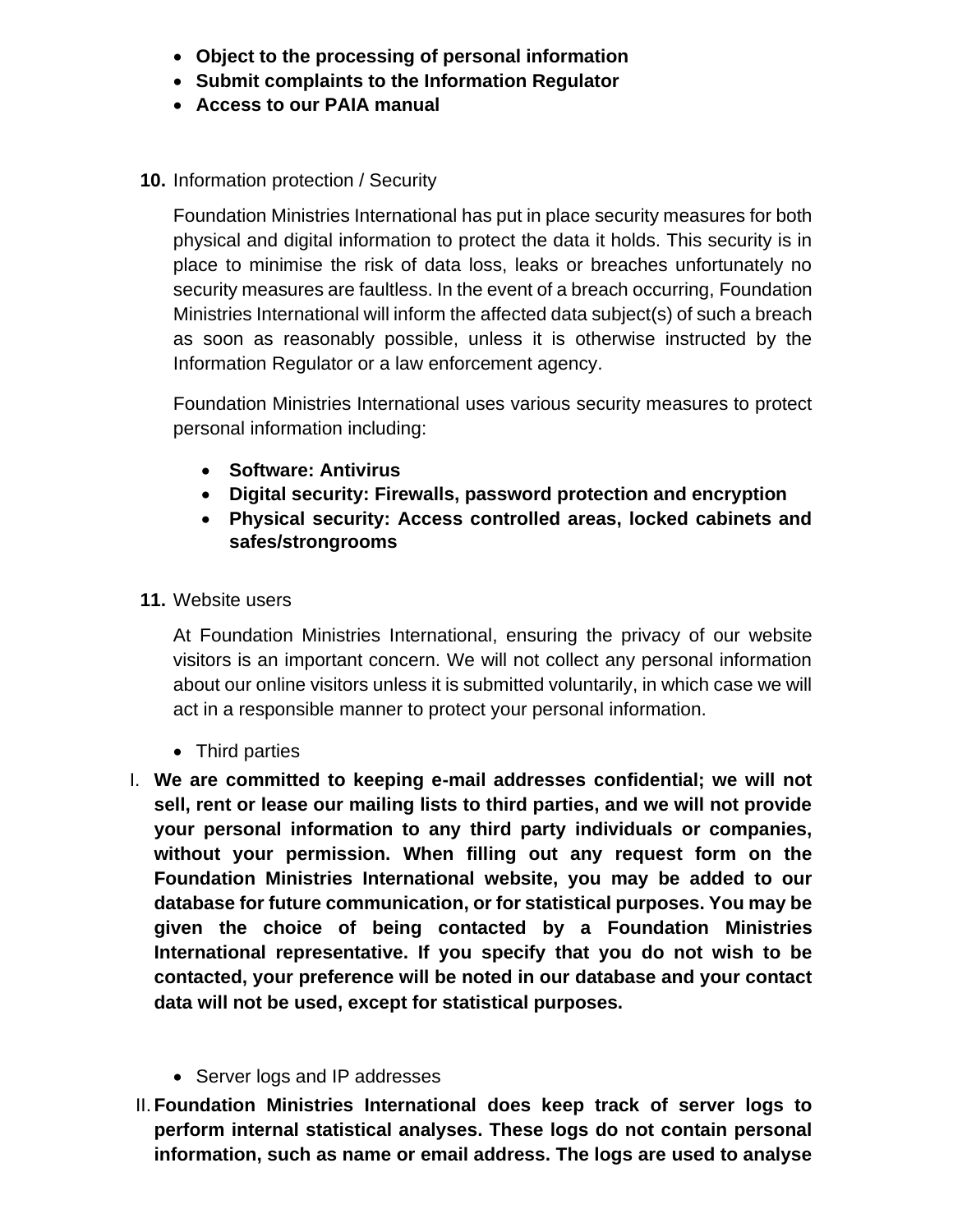- **Object to the processing of personal information**
- **Submit complaints to the Information Regulator**
- **Access to our PAIA manual**
- **10.** Information protection / Security

Foundation Ministries International has put in place security measures for both physical and digital information to protect the data it holds. This security is in place to minimise the risk of data loss, leaks or breaches unfortunately no security measures are faultless. In the event of a breach occurring, Foundation Ministries International will inform the affected data subject(s) of such a breach as soon as reasonably possible, unless it is otherwise instructed by the Information Regulator or a law enforcement agency.

Foundation Ministries International uses various security measures to protect personal information including:

- **Software: Antivirus**
- **Digital security: Firewalls, password protection and encryption**
- **Physical security: Access controlled areas, locked cabinets and safes/strongrooms**
- **11.** Website users

At Foundation Ministries International, ensuring the privacy of our website visitors is an important concern. We will not collect any personal information about our online visitors unless it is submitted voluntarily, in which case we will act in a responsible manner to protect your personal information.

- Third parties
- I. **We are committed to keeping e-mail addresses confidential; we will not sell, rent or lease our mailing lists to third parties, and we will not provide your personal information to any third party individuals or companies, without your permission. When filling out any request form on the Foundation Ministries International website, you may be added to our database for future communication, or for statistical purposes. You may be given the choice of being contacted by a Foundation Ministries International representative. If you specify that you do not wish to be contacted, your preference will be noted in our database and your contact data will not be used, except for statistical purposes.**
	- Server logs and IP addresses
- II.**Foundation Ministries International does keep track of server logs to perform internal statistical analyses. These logs do not contain personal information, such as name or email address. The logs are used to analyse**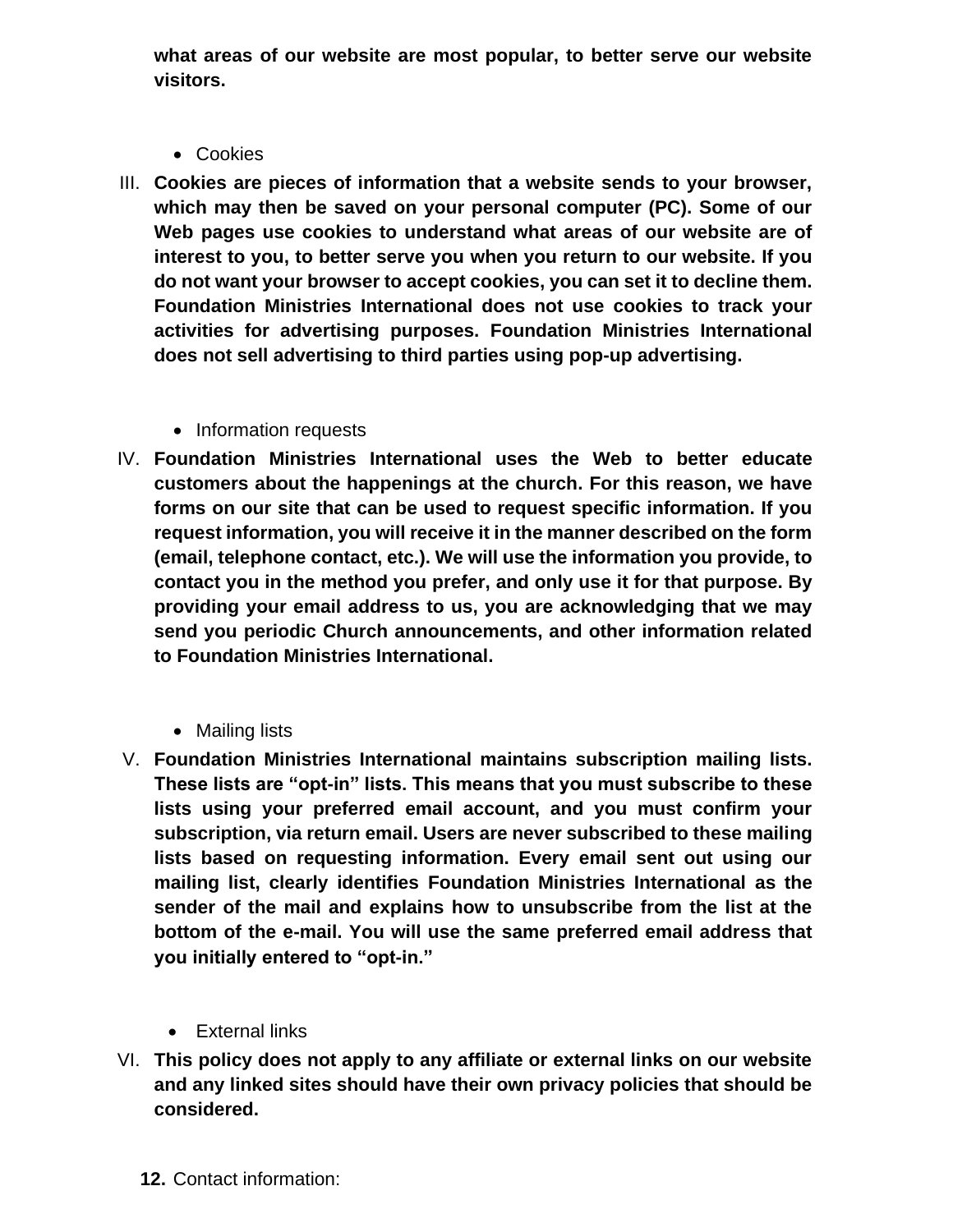**what areas of our website are most popular, to better serve our website visitors.**

- Cookies
- III. **Cookies are pieces of information that a website sends to your browser, which may then be saved on your personal computer (PC). Some of our Web pages use cookies to understand what areas of our website are of interest to you, to better serve you when you return to our website. If you do not want your browser to accept cookies, you can set it to decline them. Foundation Ministries International does not use cookies to track your activities for advertising purposes. Foundation Ministries International does not sell advertising to third parties using pop-up advertising.**
	- Information requests
- IV. **Foundation Ministries International uses the Web to better educate customers about the happenings at the church. For this reason, we have forms on our site that can be used to request specific information. If you request information, you will receive it in the manner described on the form (email, telephone contact, etc.). We will use the information you provide, to contact you in the method you prefer, and only use it for that purpose. By providing your email address to us, you are acknowledging that we may send you periodic Church announcements, and other information related to Foundation Ministries International.**
	- Mailing lists
- V. **Foundation Ministries International maintains subscription mailing lists. These lists are "opt-in" lists. This means that you must subscribe to these lists using your preferred email account, and you must confirm your subscription, via return email. Users are never subscribed to these mailing lists based on requesting information. Every email sent out using our mailing list, clearly identifies Foundation Ministries International as the sender of the mail and explains how to unsubscribe from the list at the bottom of the e-mail. You will use the same preferred email address that you initially entered to "opt-in."**
	- External links
- VI. **This policy does not apply to any affiliate or external links on our website and any linked sites should have their own privacy policies that should be considered.**